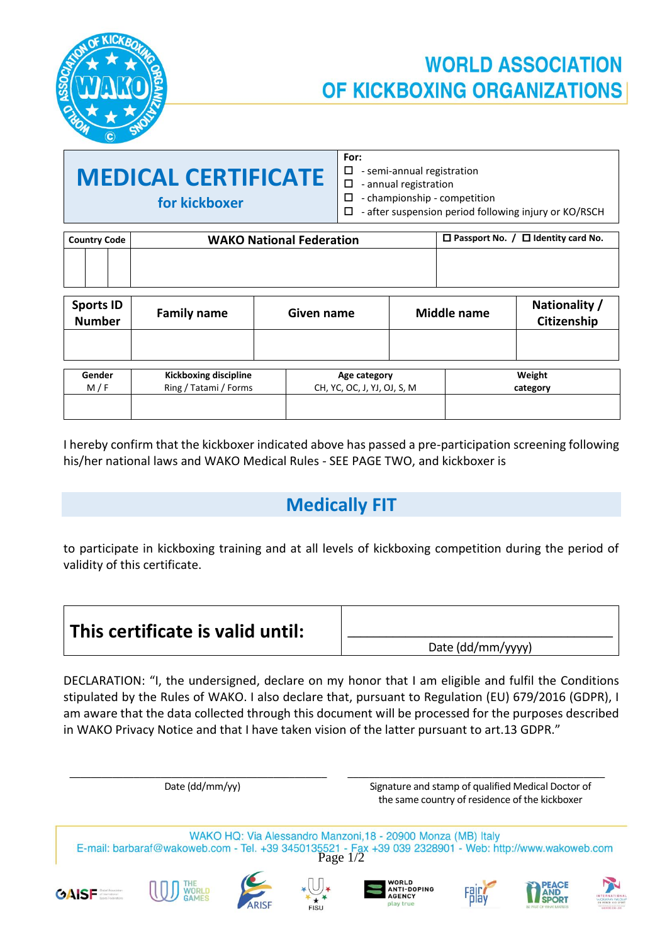

# **WORLD ASSOCIATION** OF KICKBOXING ORGANIZATIONS

| <b>MEDICAL CERTIFICATE</b> |
|----------------------------|
| for kickboxer              |

Date (dd/mm/yy)

**GAISF** 

| For: |                                   |
|------|-----------------------------------|
|      | $\Box$ - semi-annual registration |

 $\square$  - annual registration

 $\Box$  - championship - competition

| $\Box$ - after suspension period following injury or KO/RSCH |
|--------------------------------------------------------------|
|--------------------------------------------------------------|

| <b>Country Code</b>               | <b>WAKO National Federation</b> |                                                           |  | $\Box$ Passport No. / $\Box$ Identity card No. |                              |
|-----------------------------------|---------------------------------|-----------------------------------------------------------|--|------------------------------------------------|------------------------------|
|                                   |                                 |                                                           |  |                                                |                              |
| <b>Sports ID</b><br><b>Number</b> | <b>Family name</b>              | Given name                                                |  | <b>Middle name</b>                             | Nationality /<br>Citizenship |
|                                   |                                 |                                                           |  |                                                |                              |
| $C$ andar                         | Kiekhoving discipling           | $h \circ \circ \circ \circ \circ \circ \circ \circ \circ$ |  |                                                | M < b                        |

| Gender | Kickboxing discipline | Age category                | Weight   |
|--------|-----------------------|-----------------------------|----------|
| M/F    | Ring / Tatami / Forms | CH, YC, OC, J, YJ, OJ, S, M | category |
|        |                       |                             |          |
|        |                       |                             |          |

I hereby confirm that the kickboxer indicated above has passed a pre-participation screening following his/her national laws and WAKO Medical Rules - SEE PAGE TWO, and kickboxer is

## **Medically FIT**

to participate in kickboxing training and at all levels of kickboxing competition during the period of validity of this certificate.

| This certificate is valid until: |                   |
|----------------------------------|-------------------|
|                                  | Date (dd/mm/yyyy) |

DECLARATION: "I, the undersigned, declare on my honor that I am eligible and fulfil the Conditions stipulated by the Rules of WAKO. I also declare that, pursuant to Regulation (EU) 679/2016 (GDPR), I am aware that the data collected through this document will be processed for the purposes described in WAKO Privacy Notice and that I have taken vision of the latter pursuant to art.13 GDPR."

\_\_\_\_\_\_\_\_\_\_\_\_\_\_\_\_\_\_\_\_\_\_\_\_\_\_\_\_\_\_\_\_\_\_\_\_\_\_\_\_\_\_\_\_\_\_\_\_ \_\_\_\_\_\_\_\_\_\_\_\_\_\_\_\_\_\_\_\_\_\_\_\_\_\_\_\_\_\_\_\_\_\_\_\_\_\_\_\_\_\_\_\_\_\_\_\_ Signature and stamp of qualified Medical Doctor of the same country of residence of the kickboxer



**FISU** 

AGENCY